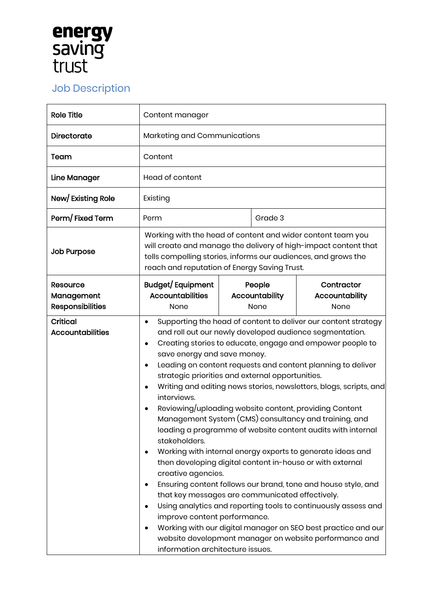## **energy<br>saving<br>trust**

## Job Description

| <b>Role Title</b>                                 | Content manager                                                                                                                                                                                                                                                                                                                                                                                                                                                                                                                                                                                                                                                                                                                                                                                                                                                                                                                                                                                                                                                                                                                                                                                  |                                  |                                      |
|---------------------------------------------------|--------------------------------------------------------------------------------------------------------------------------------------------------------------------------------------------------------------------------------------------------------------------------------------------------------------------------------------------------------------------------------------------------------------------------------------------------------------------------------------------------------------------------------------------------------------------------------------------------------------------------------------------------------------------------------------------------------------------------------------------------------------------------------------------------------------------------------------------------------------------------------------------------------------------------------------------------------------------------------------------------------------------------------------------------------------------------------------------------------------------------------------------------------------------------------------------------|----------------------------------|--------------------------------------|
| <b>Directorate</b>                                | Marketing and Communications                                                                                                                                                                                                                                                                                                                                                                                                                                                                                                                                                                                                                                                                                                                                                                                                                                                                                                                                                                                                                                                                                                                                                                     |                                  |                                      |
| Team                                              | Content                                                                                                                                                                                                                                                                                                                                                                                                                                                                                                                                                                                                                                                                                                                                                                                                                                                                                                                                                                                                                                                                                                                                                                                          |                                  |                                      |
| Line Manager                                      | Head of content                                                                                                                                                                                                                                                                                                                                                                                                                                                                                                                                                                                                                                                                                                                                                                                                                                                                                                                                                                                                                                                                                                                                                                                  |                                  |                                      |
| New/Existing Role                                 | Existing                                                                                                                                                                                                                                                                                                                                                                                                                                                                                                                                                                                                                                                                                                                                                                                                                                                                                                                                                                                                                                                                                                                                                                                         |                                  |                                      |
| Perm/Fixed Term                                   | Perm                                                                                                                                                                                                                                                                                                                                                                                                                                                                                                                                                                                                                                                                                                                                                                                                                                                                                                                                                                                                                                                                                                                                                                                             | Grade 3                          |                                      |
| <b>Job Purpose</b>                                | Working with the head of content and wider content team you<br>will create and manage the delivery of high-impact content that<br>tells compelling stories, informs our audiences, and grows the<br>reach and reputation of Energy Saving Trust.                                                                                                                                                                                                                                                                                                                                                                                                                                                                                                                                                                                                                                                                                                                                                                                                                                                                                                                                                 |                                  |                                      |
| Resource<br>Management<br><b>Responsibilities</b> | Budget/Equipment<br><b>Accountabilities</b><br>None                                                                                                                                                                                                                                                                                                                                                                                                                                                                                                                                                                                                                                                                                                                                                                                                                                                                                                                                                                                                                                                                                                                                              | People<br>Accountability<br>None | Contractor<br>Accountability<br>None |
| <b>Critical</b><br><b>Accountabilities</b>        | Supporting the head of content to deliver our content strategy<br>$\bullet$<br>and roll out our newly developed audience segmentation.<br>Creating stories to educate, engage and empower people to<br>$\bullet$<br>save energy and save money.<br>Leading on content requests and content planning to deliver<br>strategic priorities and external opportunities.<br>Writing and editing news stories, newsletters, blogs, scripts, and<br>interviews.<br>Reviewing/uploading website content, providing Content<br>Management System (CMS) consultancy and training, and<br>leading a programme of website content audits with internal<br>stakeholders.<br>Working with internal energy experts to generate ideas and<br>then developing digital content in-house or with external<br>creative agencies.<br>Ensuring content follows our brand, tone and house style, and<br>that key messages are communicated effectively.<br>Using analytics and reporting tools to continuously assess and<br>improve content performance.<br>Working with our digital manager on SEO best practice and our<br>website development manager on website performance and<br>information architecture issues. |                                  |                                      |